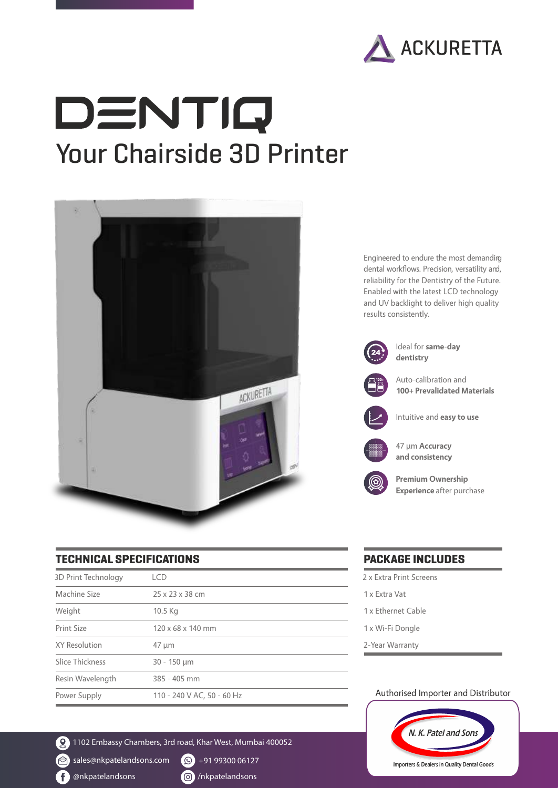

# DENTIQ Your Chairside 3D Printer



**TECHNICAL SPECIFICATIONS**

| 3D Print Technology | I CD                       |
|---------------------|----------------------------|
| Machine Size        | 25 x 23 x 38 cm            |
| Weight              | 10.5 Kg                    |
| Print Size          | 120 x 68 x 140 mm          |
| XY Resolution       | $47 \mu m$                 |
| Slice Thickness     | $30 - 150 \mu m$           |
| Resin Wavelength    | 385 - 405 mm               |
| Power Supply        | 110 - 240 V AC, 50 - 60 Hz |

2 1102 Embassy Chambers, 3rd road, Khar West, Mumbai 400052

 $\textcircled{}}$  sales@nkpatelandsons.com  $\textcircled{S}$  +91 99300 06127

<sup>1</sup> @nkpatelandsons / 6 /nkpatelandsons

Engineered to endure the most demanding dental workflows. Precision, versatility and, reliability for the Dentistry of the Future. Enabled with the latest LCD technology and UV backlight to deliver high quality results consistently.



#### **PACKAGE INCLUDES**

- 1 x Extra Vat
- 1 x Ethernet Cable
- 1 x Wi-Fi Dongle
- 2-Year Warranty

#### Authorised Importer and Distributor